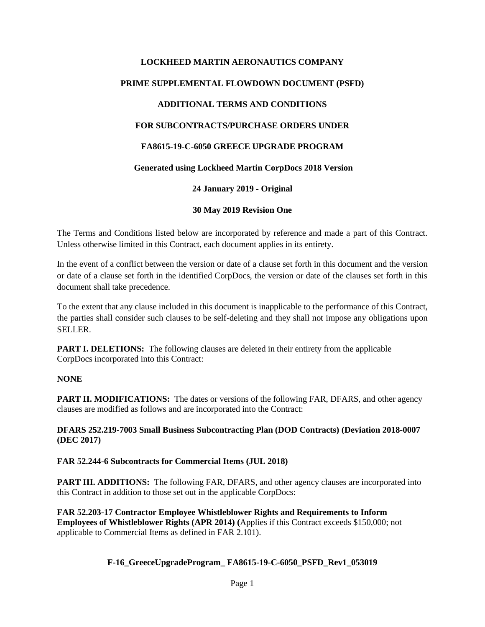# **LOCKHEED MARTIN AERONAUTICS COMPANY PRIME SUPPLEMENTAL FLOWDOWN DOCUMENT (PSFD) ADDITIONAL TERMS AND CONDITIONS FOR SUBCONTRACTS/PURCHASE ORDERS UNDER FA8615-19-C-6050 GREECE UPGRADE PROGRAM Generated using Lockheed Martin CorpDocs 2018 Version 24 January 2019 - Original 30 May 2019 Revision One**

The Terms and Conditions listed below are incorporated by reference and made a part of this Contract. Unless otherwise limited in this Contract, each document applies in its entirety.

In the event of a conflict between the version or date of a clause set forth in this document and the version or date of a clause set forth in the identified CorpDocs, the version or date of the clauses set forth in this document shall take precedence.

To the extent that any clause included in this document is inapplicable to the performance of this Contract, the parties shall consider such clauses to be self-deleting and they shall not impose any obligations upon SELLER.

**PART I. DELETIONS:** The following clauses are deleted in their entirety from the applicable CorpDocs incorporated into this Contract:

### **NONE**

**PART II. MODIFICATIONS:** The dates or versions of the following FAR, DFARS, and other agency clauses are modified as follows and are incorporated into the Contract:

**DFARS 252.219-7003 Small Business Subcontracting Plan (DOD Contracts) (Deviation 2018-0007 (DEC 2017)** 

#### **FAR 52.244-6 Subcontracts for Commercial Items (JUL 2018)**

**PART III. ADDITIONS:** The following FAR, DFARS, and other agency clauses are incorporated into this Contract in addition to those set out in the applicable CorpDocs:

**FAR 52.203-17 Contractor Employee Whistleblower Rights and Requirements to Inform Employees of Whistleblower Rights (APR 2014) (**Applies if this Contract exceeds \$150,000; not applicable to Commercial Items as defined in FAR 2.101).

### **F-16\_GreeceUpgradeProgram\_ FA8615-19-C-6050\_PSFD\_Rev1\_053019**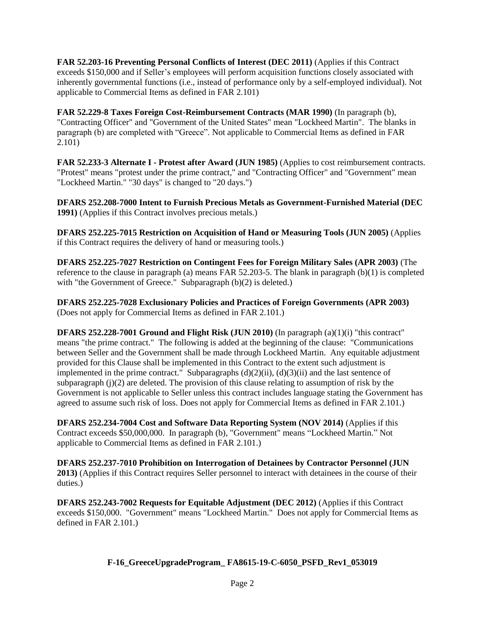**FAR 52.203-16 Preventing Personal Conflicts of Interest (DEC 2011)** (Applies if this Contract exceeds \$150,000 and if Seller's employees will perform acquisition functions closely associated with inherently governmental functions (i.e., instead of performance only by a self-employed individual). Not applicable to Commercial Items as defined in FAR 2.101)

**FAR 52.229-8 Taxes Foreign Cost-Reimbursement Contracts (MAR 1990)** (In paragraph (b), "Contracting Officer" and "Government of the United States" mean "Lockheed Martin". The blanks in paragraph (b) are completed with "Greece". Not applicable to Commercial Items as defined in FAR 2.101)

**FAR 52.233-3 Alternate I - Protest after Award (JUN 1985)** (Applies to cost reimbursement contracts. "Protest" means "protest under the prime contract," and "Contracting Officer" and "Government" mean "Lockheed Martin." "30 days" is changed to "20 days.")

**DFARS 252.208-7000 Intent to Furnish Precious Metals as Government-Furnished Material (DEC 1991)** (Applies if this Contract involves precious metals.)

**DFARS 252.225-7015 Restriction on Acquisition of Hand or Measuring Tools (JUN 2005)** (Applies if this Contract requires the delivery of hand or measuring tools.)

**DFARS 252.225-7027 Restriction on Contingent Fees for Foreign Military Sales (APR 2003)** (The reference to the clause in paragraph (a) means FAR 52.203-5. The blank in paragraph (b)(1) is completed with "the Government of Greece." Subparagraph (b)(2) is deleted.)

**DFARS 252.225-7028 Exclusionary Policies and Practices of Foreign Governments (APR 2003)** (Does not apply for Commercial Items as defined in FAR 2.101.)

**DFARS 252.228-7001 Ground and Flight Risk (JUN 2010)** (In paragraph (a)(1)(i) "this contract" means "the prime contract." The following is added at the beginning of the clause: "Communications between Seller and the Government shall be made through Lockheed Martin. Any equitable adjustment provided for this Clause shall be implemented in this Contract to the extent such adjustment is implemented in the prime contract." Subparagraphs (d)(2)(ii), (d)(3)(ii) and the last sentence of subparagraph  $(j)(2)$  are deleted. The provision of this clause relating to assumption of risk by the Government is not applicable to Seller unless this contract includes language stating the Government has agreed to assume such risk of loss. Does not apply for Commercial Items as defined in FAR 2.101.)

**DFARS 252.234-7004 Cost and Software Data Reporting System (NOV 2014)** (Applies if this Contract exceeds \$50,000,000. In paragraph (b), "Government" means "Lockheed Martin." Not applicable to Commercial Items as defined in FAR 2.101.)

**DFARS 252.237-7010 Prohibition on Interrogation of Detainees by Contractor Personnel (JUN 2013)** (Applies if this Contract requires Seller personnel to interact with detainees in the course of their duties.)

**DFARS 252.243-7002 Requests for Equitable Adjustment (DEC 2012)** (Applies if this Contract exceeds \$150,000. "Government" means "Lockheed Martin." Does not apply for Commercial Items as defined in FAR 2.101.)

### **F-16\_GreeceUpgradeProgram\_ FA8615-19-C-6050\_PSFD\_Rev1\_053019**